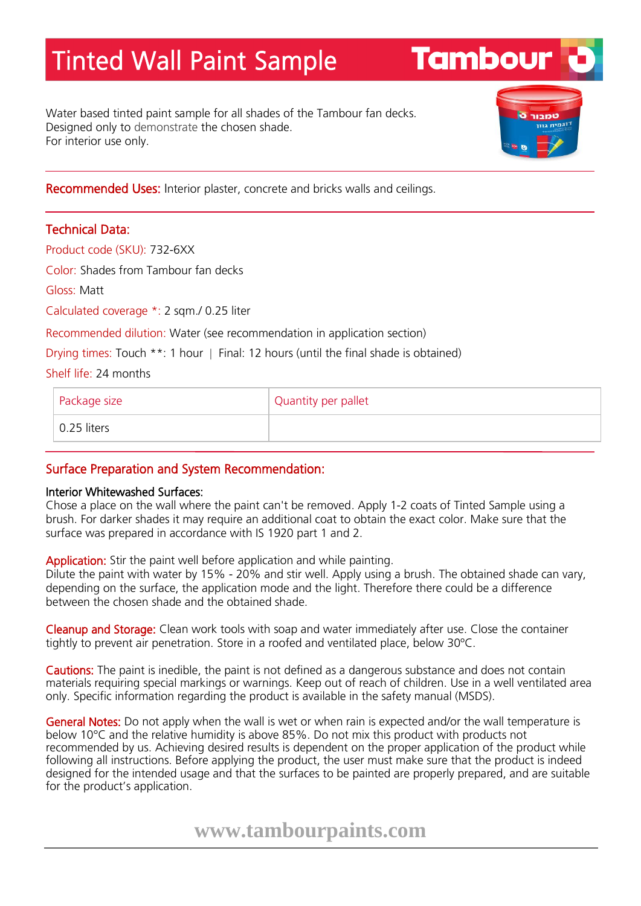## Tinted Wall Paint Sample

Water based tinted paint sample for all shades of the Tambour fan decks. Designed only to demonstrate the chosen shade. For interior use only.



**Tambour** 

Recommended Uses: Interior plaster, concrete and bricks walls and ceilings.

## Technical Data:

Product code (SKU): 732-6XX

Color: Shades from Tambour fan decks

Gloss: Matt

Calculated coverage \*: 2 sqm./ 0.25 liter

Recommended dilution: Water (see recommendation in application section)

Drying times: Touch \*\*: 1 hour | Final: 12 hours (until the final shade is obtained)

Shelf life: 24 months

| Package size | Quantity per pallet |
|--------------|---------------------|
| 0.25 liters  |                     |

## Surface Preparation and System Recommendation:

## Interior Whitewashed Surfaces:

Chose a place on the wall where the paint can't be removed. Apply 1-2 coats of Tinted Sample using a brush. For darker shades it may require an additional coat to obtain the exact color. Make sure that the surface was prepared in accordance with IS 1920 part 1 and 2.

Application: Stir the paint well before application and while painting.

Dilute the paint with water by 15% - 20% and stir well. Apply using a brush. The obtained shade can vary, depending on the surface, the application mode and the light. Therefore there could be a difference between the chosen shade and the obtained shade.

Cleanup and Storage: Clean work tools with soap and water immediately after use. Close the container tightly to prevent air penetration. Store in a roofed and ventilated place, below 30ºC.

Cautions: The paint is inedible, the paint is not defined as a dangerous substance and does not contain materials requiring special markings or warnings. Keep out of reach of children. Use in a well ventilated area only. Specific information regarding the product is available in the safety manual (MSDS).

General Notes: Do not apply when the wall is wet or when rain is expected and/or the wall temperature is below 10°C and the relative humidity is above 85%. Do not mix this product with products not recommended by us. Achieving desired results is dependent on the proper application of the product while following all instructions. Before applying the product, the user must make sure that the product is indeed designed for the intended usage and that the surfaces to be painted are properly prepared, and are suitable for the product's application.